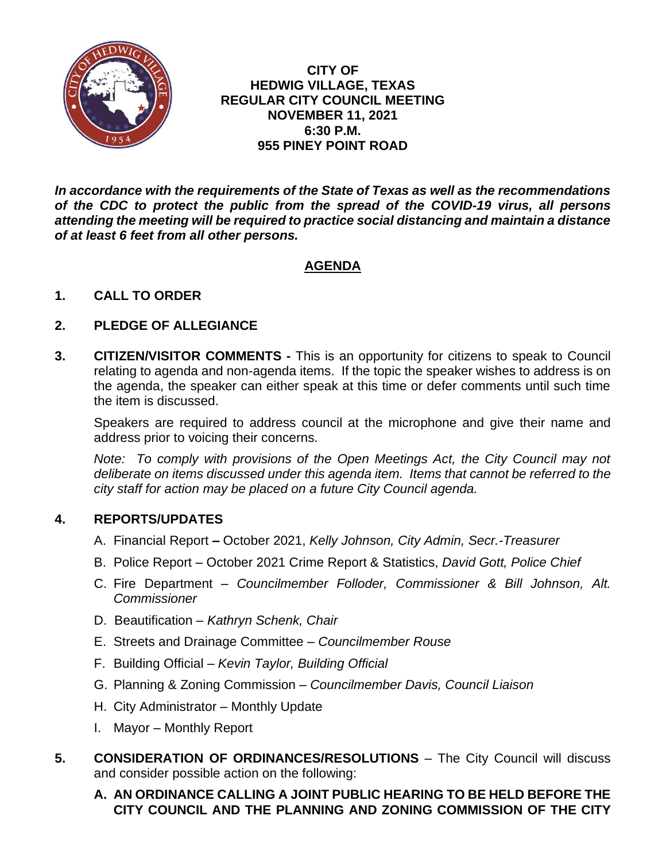

**CITY OF HEDWIG VILLAGE, TEXAS REGULAR CITY COUNCIL MEETING NOVEMBER 11, 2021 6:30 P.M. 955 PINEY POINT ROAD**

*In accordance with the requirements of the State of Texas as well as the recommendations of the CDC to protect the public from the spread of the COVID-19 virus, all persons attending the meeting will be required to practice social distancing and maintain a distance of at least 6 feet from all other persons.*

# **AGENDA**

## **1. CALL TO ORDER**

## **2. PLEDGE OF ALLEGIANCE**

**3. CITIZEN/VISITOR COMMENTS -** This is an opportunity for citizens to speak to Council relating to agenda and non-agenda items. If the topic the speaker wishes to address is on the agenda, the speaker can either speak at this time or defer comments until such time the item is discussed.

Speakers are required to address council at the microphone and give their name and address prior to voicing their concerns.

*Note: To comply with provisions of the Open Meetings Act, the City Council may not deliberate on items discussed under this agenda item. Items that cannot be referred to the city staff for action may be placed on a future City Council agenda.*

#### **4. REPORTS/UPDATES**

- A. Financial Report **–** October 2021, *Kelly Johnson, City Admin, Secr.-Treasurer*
- B. Police Report October 2021 Crime Report & Statistics, *David Gott, Police Chief*
- C. Fire Department *Councilmember Folloder, Commissioner & Bill Johnson, Alt. Commissioner*
- D. Beautification *Kathryn Schenk, Chair*
- E. Streets and Drainage Committee *Councilmember Rouse*
- F. Building Official *Kevin Taylor, Building Official*
- G. Planning & Zoning Commission *Councilmember Davis, Council Liaison*
- H. City Administrator Monthly Update
- I. Mayor Monthly Report
- **5. CONSIDERATION OF ORDINANCES/RESOLUTIONS** The City Council will discuss and consider possible action on the following:
	- **A. AN ORDINANCE CALLING A JOINT PUBLIC HEARING TO BE HELD BEFORE THE CITY COUNCIL AND THE PLANNING AND ZONING COMMISSION OF THE CITY**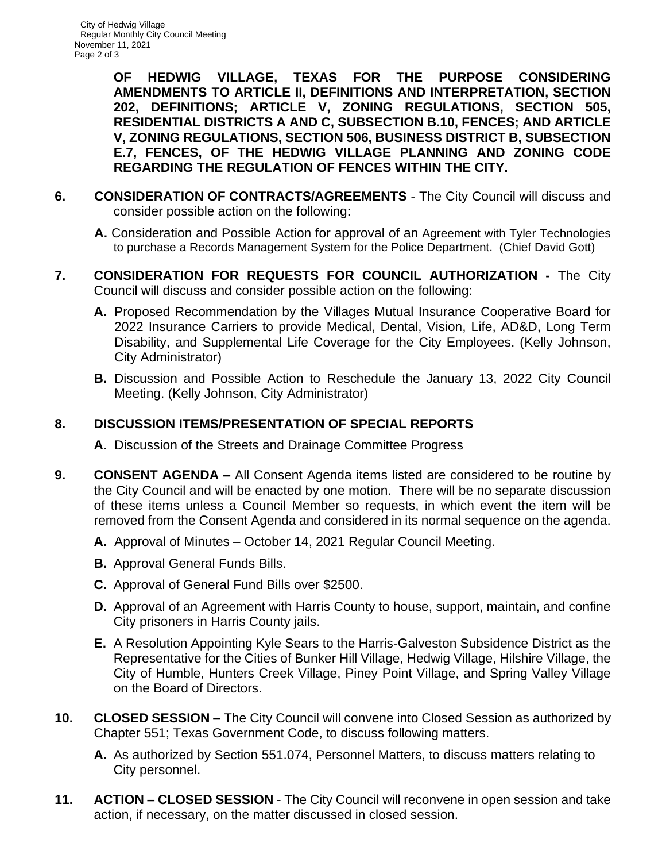**OF HEDWIG VILLAGE, TEXAS FOR THE PURPOSE CONSIDERING AMENDMENTS TO ARTICLE II, DEFINITIONS AND INTERPRETATION, SECTION 202, DEFINITIONS; ARTICLE V, ZONING REGULATIONS, SECTION 505, RESIDENTIAL DISTRICTS A AND C, SUBSECTION B.10, FENCES; AND ARTICLE V, ZONING REGULATIONS, SECTION 506, BUSINESS DISTRICT B, SUBSECTION E.7, FENCES, OF THE HEDWIG VILLAGE PLANNING AND ZONING CODE REGARDING THE REGULATION OF FENCES WITHIN THE CITY.** 

- **6. CONSIDERATION OF CONTRACTS/AGREEMENTS** The City Council will discuss and consider possible action on the following:
	- **A.** Consideration and Possible Action for approval of an Agreement with Tyler Technologies to purchase a Records Management System for the Police Department. (Chief David Gott)
- **7. CONSIDERATION FOR REQUESTS FOR COUNCIL AUTHORIZATION -** The City Council will discuss and consider possible action on the following:
	- **A.** Proposed Recommendation by the Villages Mutual Insurance Cooperative Board for 2022 Insurance Carriers to provide Medical, Dental, Vision, Life, AD&D, Long Term Disability, and Supplemental Life Coverage for the City Employees. (Kelly Johnson, City Administrator)
	- **B.** Discussion and Possible Action to Reschedule the January 13, 2022 City Council Meeting. (Kelly Johnson, City Administrator)

## **8. DISCUSSION ITEMS/PRESENTATION OF SPECIAL REPORTS**

- **A**. Discussion of the Streets and Drainage Committee Progress
- **9. CONSENT AGENDA –** All Consent Agenda items listed are considered to be routine by the City Council and will be enacted by one motion. There will be no separate discussion of these items unless a Council Member so requests, in which event the item will be removed from the Consent Agenda and considered in its normal sequence on the agenda.
	- **A.** Approval of Minutes October 14, 2021 Regular Council Meeting.
	- **B.** Approval General Funds Bills.
	- **C.** Approval of General Fund Bills over \$2500.
	- **D.** Approval of an Agreement with Harris County to house, support, maintain, and confine City prisoners in Harris County jails.
	- **E.** A Resolution Appointing Kyle Sears to the Harris-Galveston Subsidence District as the Representative for the Cities of Bunker Hill Village, Hedwig Village, Hilshire Village, the City of Humble, Hunters Creek Village, Piney Point Village, and Spring Valley Village on the Board of Directors.
- **10. CLOSED SESSION –** The City Council will convene into Closed Session as authorized by Chapter 551; Texas Government Code, to discuss following matters.
	- **A.** As authorized by Section 551.074, Personnel Matters, to discuss matters relating to City personnel.
- **11. ACTION – CLOSED SESSION** The City Council will reconvene in open session and take action, if necessary, on the matter discussed in closed session.